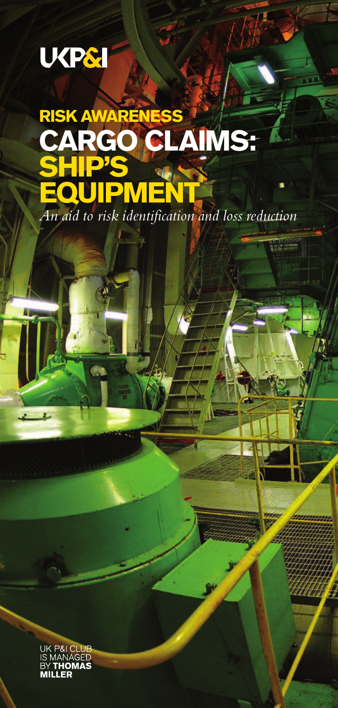# **UKP&I**

n

# **RISK AWAREN CARGO CLAIMS: SHIP'S EQUIPMENT** *An aid to risk identification and loss reduction*

Highway

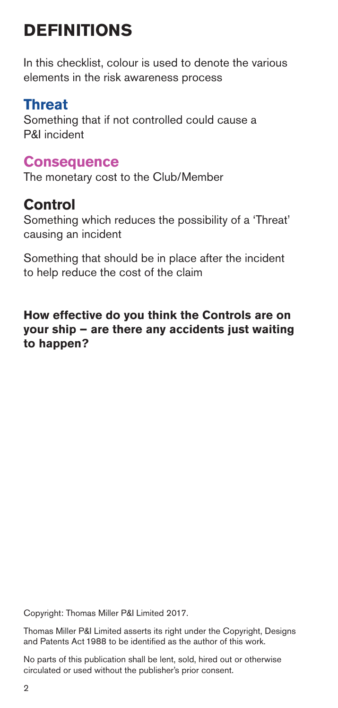# **DEFINITIONS**

In this checklist, colour is used to denote the various elements in the risk awareness process

## **Threat**

Something that if not controlled could cause a P&I incident

## **Consequence**

The monetary cost to the Club/Member

## **Control**

Something which reduces the possibility of a 'Threat' causing an incident

Something that should be in place after the incident to help reduce the cost of the claim

## **How effective do you think the Controls are on your ship – are there any accidents just waiting to happen?**

Copyright: Thomas Miller P&I Limited 2017.

Thomas Miller P&I Limited asserts its right under the Copyright, Designs and Patents Act 1988 to be identified as the author of this work.

No parts of this publication shall be lent, sold, hired out or otherwise circulated or used without the publisher's prior consent.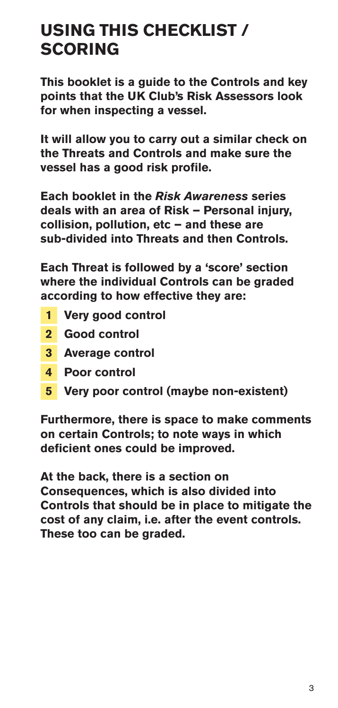## **USING THIS CHECKLIST / SCORING**

**This booklet is a guide to the Controls and key points that the UK Club's Risk Assessors look for when inspecting a vessel.**

**It will allow you to carry out a similar check on the Threats and Controls and make sure the vessel has a good risk profile.**

**Each booklet in the** *Risk Awareness* **series deals with an area of Risk – Personal injury, collision, pollution, etc – and these are sub-divided into Threats and then Controls.**

**Each Threat is followed by a 'score' section where the individual Controls can be graded according to how effective they are:**

- **1 Very good control**
- **2 Good control**
- **3 Average control**
- **4 Poor control**
- **5 Very poor control (maybe non-existent)**

**Furthermore, there is space to make comments on certain Controls; to note ways in which deficient ones could be improved.**

**At the back, there is a section on Consequences, which is also divided into Controls that should be in place to mitigate the cost of any claim, i.e. after the event controls. These too can be graded.**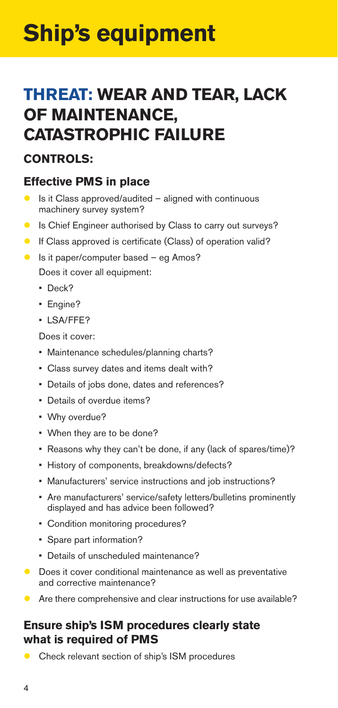# **Ship's equipment**

## **THREAT: WEAR AND TEAR, LACK OF MAINTENANCE, CATASTROPHIC FAILURE**

## **CONTROLS:**

## **Effective PMS in place**

- Is it Class approved/audited aligned with continuous machinery survey system?
- Is Chief Engineer authorised by Class to carry out surveys?
- If Class approved is certificate (Class) of operation valid?
- $\bullet$  Is it paper/computer based eg Amos?

Does it cover all equipment:

- Deck?
- Engine?
- LSA/FFE?

Does it cover:

- Maintenance schedules/planning charts?
- Class survey dates and items dealt with?
- Details of jobs done, dates and references?
- Details of overdue items?
- Why overdue?
- When they are to be done?
- Reasons why they can't be done, if any (lack of spares/time)?
- History of components, breakdowns/defects?
- Manufacturers' service instructions and job instructions?
- Are manufacturers' service/safety letters/bulletins prominently displayed and has advice been followed?
- Condition monitoring procedures?
- Spare part information?
- Details of unscheduled maintenance?
- Does it cover conditional maintenance as well as preventative and corrective maintenance?
- Are there comprehensive and clear instructions for use available?

## **Ensure ship's ISM procedures clearly state what is required of PMS**

Check relevant section of ship's ISM procedures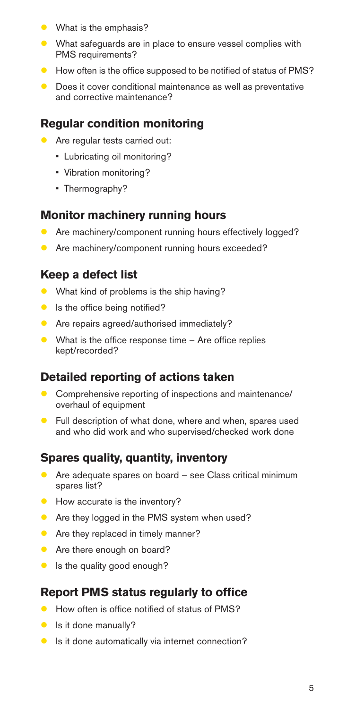- **What is the emphasis?**
- What safeguards are in place to ensure vessel complies with PMS requirements?
- $\bullet$  How often is the office supposed to be notified of status of PMS?
- Does it cover conditional maintenance as well as preventative and corrective maintenance?

## **Regular condition monitoring**

- **Are regular tests carried out:** 
	- Lubricating oil monitoring?
	- Vibration monitoring?
	- Thermography?

## **Monitor machinery running hours**

- **Are machinery/component running hours effectively logged?**
- Are machinery/component running hours exceeded?

## **Keep a defect list**

- What kind of problems is the ship having?
- Is the office being notified?
- **Are repairs agreed/authorised immediately?**
- What is the office response time Are office replies kept/recorded?

## **Detailed reporting of actions taken**

- Comprehensive reporting of inspections and maintenance/ overhaul of equipment
- **•** Full description of what done, where and when, spares used and who did work and who supervised/checked work done

#### **Spares quality, quantity, inventory**

- Are adequate spares on board see Class critical minimum spares list?
- How accurate is the inventory?
- Are they logged in the PMS system when used?
- **Are they replaced in timely manner?**
- **Are there enough on board?**
- Is the quality good enough?

## **Report PMS status regularly to office**

- How often is office notified of status of PMS?
- Is it done manually?
- Is it done automatically via internet connection?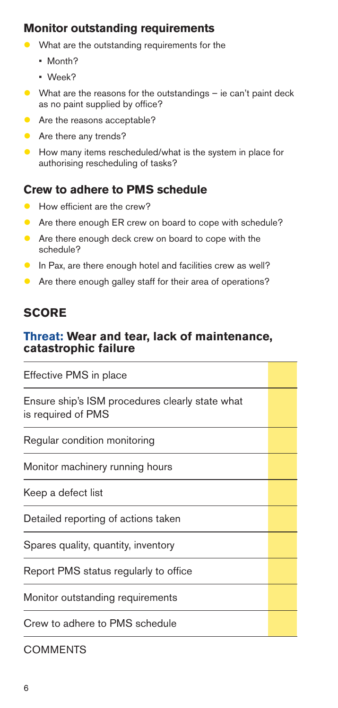## **Monitor outstanding requirements**

- What are the outstanding requirements for the
	- Month?
	- Week?
- What are the reasons for the outstandings ie can't paint deck as no paint supplied by office?
- **Are the reasons acceptable?**
- Are there any trends?
- How many items rescheduled/what is the system in place for authorising rescheduling of tasks?

## **Crew to adhere to PMS schedule**

- How efficient are the crew?
- Are there enough ER crew on board to cope with schedule?
- Are there enough deck crew on board to cope with the schedule?
- In Pax, are there enough hotel and facilities crew as well?
- Are there enough galley staff for their area of operations?

## **SCORE**

## **Threat: Wear and tear, lack of maintenance, catastrophic failure**

| Effective PMS in place                                                |  |
|-----------------------------------------------------------------------|--|
| Ensure ship's ISM procedures clearly state what<br>is required of PMS |  |
| Regular condition monitoring                                          |  |
| Monitor machinery running hours                                       |  |
| Keep a defect list                                                    |  |
| Detailed reporting of actions taken                                   |  |
| Spares quality, quantity, inventory                                   |  |
| Report PMS status regularly to office                                 |  |
| Monitor outstanding requirements                                      |  |
| Crew to adhere to PMS schedule                                        |  |

**COMMENTS**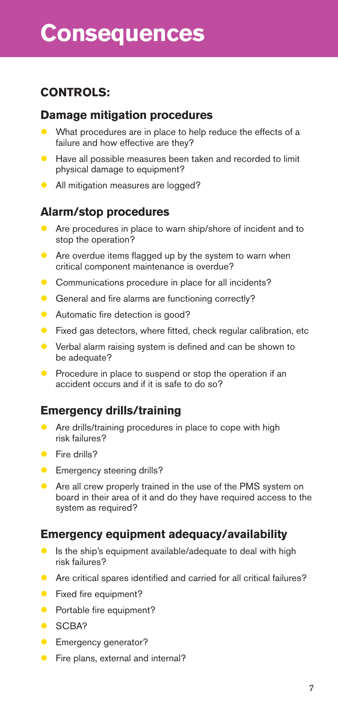## **CONTROLS:**

#### **Damage mitigation procedures**

- What procedures are in place to help reduce the effects of a failure and how effective are they?
- Have all possible measures been taken and recorded to limit physical damage to equipment?
- **All mitigation measures are logged?**

## **Alarm/stop procedures**

- Are procedures in place to warn ship/shore of incident and to stop the operation?
- Are overdue items flagged up by the system to warn when critical component maintenance is overdue?
- **Communications procedure in place for all incidents?**
- General and fire alarms are functioning correctly?
- **Automatic fire detection is good?**
- Fixed gas detectors, where fitted, check regular calibration, etc
- Verbal alarm raising system is defined and can be shown to be adequate?
- Procedure in place to suspend or stop the operation if an accident occurs and if it is safe to do so?

## **Emergency drills/training**

- Are drills/training procedures in place to cope with high risk failures?
- Fire drills?
- **Emergency steering drills?**
- Are all crew properly trained in the use of the PMS system on board in their area of it and do they have required access to the system as required?

## **Emergency equipment adequacy/availability**

- Is the ship's equipment available/adequate to deal with high risk failures?
- Are critical spares identified and carried for all critical failures?
- Fixed fire equipment?
- Portable fire equipment?
- **CRA?**
- Emergency generator?
- **•** Fire plans, external and internal?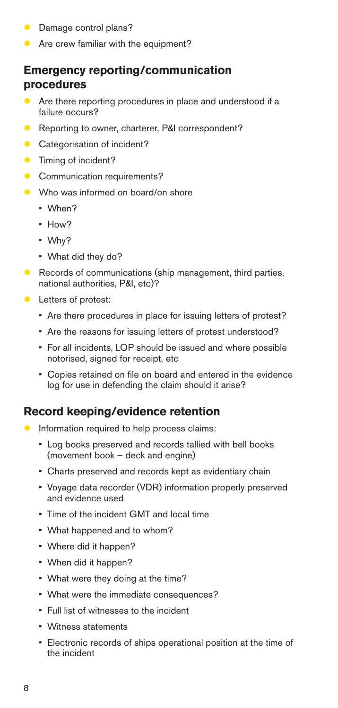- **Damage control plans?**
- **Are crew familiar with the equipment?**

## **Emergency reporting/communication procedures**

- Are there reporting procedures in place and understood if a failure occurs?
- Reporting to owner, charterer, P&I correspondent?
- Categorisation of incident?
- Timing of incident?
- Communication requirements?
- Who was informed on board/on shore
	- When?
	- How?
	- Why?
	- What did they do?
- Records of communications (ship management, third parties, national authorities, P&I, etc)?
- Letters of protest:
	- Are there procedures in place for issuing letters of protest?
	- Are the reasons for issuing letters of protest understood?
	- For all incidents, LOP should be issued and where possible notorised, signed for receipt, etc
	- Copies retained on file on board and entered in the evidence log for use in defending the claim should it arise?

## **Record keeping/evidence retention**

- **Information required to help process claims:** 
	- Log books preserved and records tallied with bell books (movement book – deck and engine)
	- Charts preserved and records kept as evidentiary chain
	- Voyage data recorder (VDR) information properly preserved and evidence used
	- Time of the incident GMT and local time
	- What happened and to whom?
	- Where did it happen?
	- When did it happen?
	- What were they doing at the time?
	- What were the immediate consequences?
	- Full list of witnesses to the incident
	- Witness statements
	- Electronic records of ships operational position at the time of the incident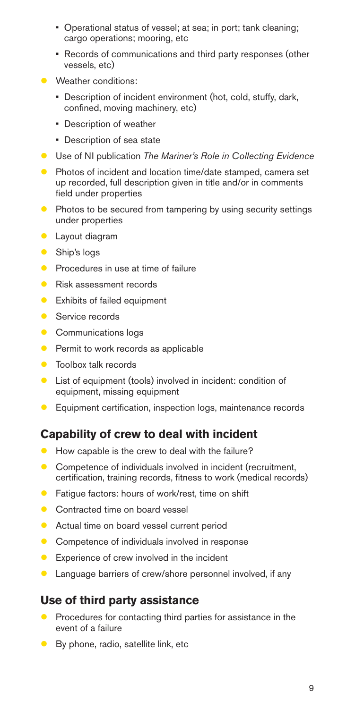- Operational status of vessel; at sea; in port; tank cleaning; cargo operations; mooring, etc
- Records of communications and third party responses (other vessels, etc)
- **Weather conditions:** 
	- Description of incident environment (hot, cold, stuffy, dark, confined, moving machinery, etc)
	- Description of weather
	- Description of sea state
- Use of NI publication *The Mariner's Role in Collecting Evidence*
- Photos of incident and location time/date stamped, camera set up recorded, full description given in title and/or in comments field under properties
- **Photos to be secured from tampering by using security settings** under properties
- **C** Layout diagram
- Ship's logs
- **Procedures in use at time of failure**
- Risk assessment records
- **Exhibits of failed equipment**
- Service records
- Communications logs
- Permit to work records as applicable
- **•** Toolbox talk records
- List of equipment (tools) involved in incident: condition of equipment, missing equipment
- **Equipment certification, inspection logs, maintenance records**

#### **Capability of crew to deal with incident**

- How capable is the crew to deal with the failure?
- Competence of individuals involved in incident (recruitment, certification, training records, fitness to work (medical records)
- Fatigue factors: hours of work/rest, time on shift
- **Contracted time on board vessel**
- Actual time on board vessel current period
- Competence of individuals involved in response
- Experience of crew involved in the incident
- Language barriers of crew/shore personnel involved, if any

#### **Use of third party assistance**

- Procedures for contacting third parties for assistance in the event of a failure
- By phone, radio, satellite link, etc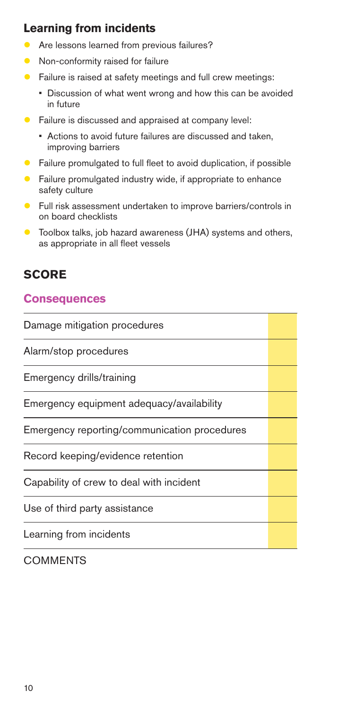## **Learning from incidents**

- Are lessons learned from previous failures?
- Non-conformity raised for failure
- Failure is raised at safety meetings and full crew meetings:
	- Discussion of what went wrong and how this can be avoided in future
- **•** Failure is discussed and appraised at company level:
	- Actions to avoid future failures are discussed and taken, improving barriers
- **•** Failure promulgated to full fleet to avoid duplication, if possible
- Failure promulgated industry wide, if appropriate to enhance safety culture
- **•** Full risk assessment undertaken to improve barriers/controls in on board checklists
- Toolbox talks, job hazard awareness (JHA) systems and others, as appropriate in all fleet vessels

## **SCORE**

## **Consequences**

| Damage mitigation procedures                 |  |
|----------------------------------------------|--|
| Alarm/stop procedures                        |  |
| Emergency drills/training                    |  |
| Emergency equipment adequacy/availability    |  |
| Emergency reporting/communication procedures |  |
| Record keeping/evidence retention            |  |
| Capability of crew to deal with incident     |  |
| Use of third party assistance                |  |
| Learning from incidents                      |  |

#### **COMMENTS**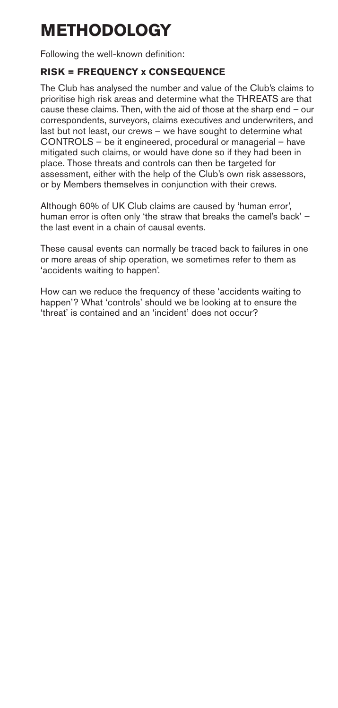# **METHODOLOGY**

Following the well-known definition:

#### **RISK = FREQUENCY x CONSEQUENCE**

The Club has analysed the number and value of the Club's claims to prioritise high risk areas and determine what the THREATS are that cause these claims. Then, with the aid of those at the sharp end – our correspondents, surveyors, claims executives and underwriters, and last but not least, our crews – we have sought to determine what CONTROLS – be it engineered, procedural or managerial – have mitigated such claims, or would have done so if they had been in place. Those threats and controls can then be targeted for assessment, either with the help of the Club's own risk assessors, or by Members themselves in conjunction with their crews.

Although 60% of UK Club claims are caused by 'human error', human error is often only 'the straw that breaks the camel's back' – the last event in a chain of causal events.

These causal events can normally be traced back to failures in one or more areas of ship operation, we sometimes refer to them as 'accidents waiting to happen'.

How can we reduce the frequency of these 'accidents waiting to happen'? What 'controls' should we be looking at to ensure the 'threat' is contained and an 'incident' does not occur?